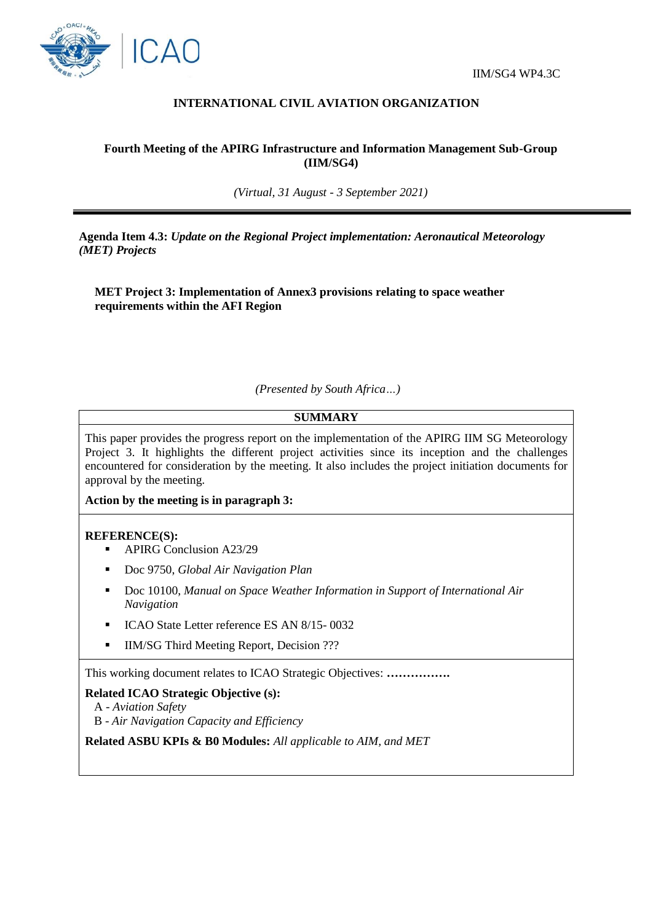

# **INTERNATIONAL CIVIL AVIATION ORGANIZATION**

**Fourth Meeting of the APIRG Infrastructure and Information Management Sub-Group (IIM/SG4)** 

*(Virtual, 31 August - 3 September 2021)*

**Agenda Item 4.3:** *Update on the Regional Project implementation: Aeronautical Meteorology (MET) Projects*

**MET Project 3: Implementation of Annex3 provisions relating to space weather requirements within the AFI Region**

*(Presented by South Africa…)*

### **SUMMARY**

This paper provides the progress report on the implementation of the APIRG IIM SG Meteorology Project 3. It highlights the different project activities since its inception and the challenges encountered for consideration by the meeting. It also includes the project initiation documents for approval by the meeting.

**Action by the meeting is in paragraph 3:**

### **REFERENCE(S):**

- APIRG Conclusion A23/29
- Doc 9750, *Global Air Navigation Plan*
- Doc 10100, *Manual on Space Weather Information in Support of International Air Navigation*
- ICAO State Letter reference ES AN 8/15- 0032
- IIM/SG Third Meeting Report, Decision ???

This working document relates to ICAO Strategic Objectives: **…………….**

#### **Related ICAO Strategic Objective (s):**

- A *Aviation Safety*
- B *Air Navigation Capacity and Efficiency*

**Related ASBU KPIs & B0 Modules:** *All applicable to AIM, and MET*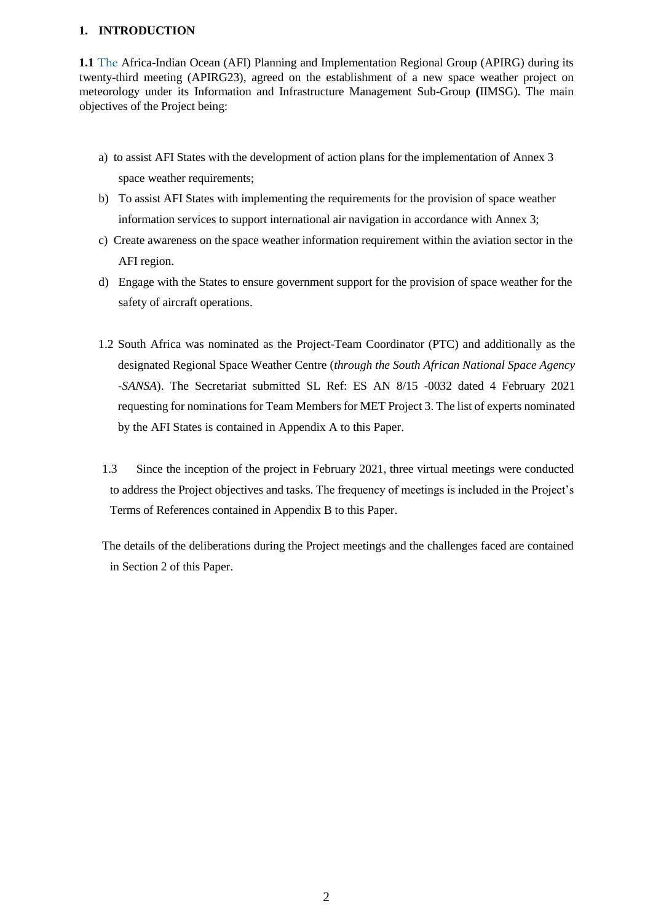### **1. INTRODUCTION**

**1.1** The Africa-Indian Ocean (AFI) Planning and Implementation Regional Group (APIRG) during its twenty-third meeting (APIRG23), agreed on the establishment of a new space weather project on meteorology under its Information and Infrastructure Management Sub-Group **(**IIMSG). The main objectives of the Project being:

- a) to assist AFI States with the development of action plans for the implementation of Annex 3 space weather requirements;
- b) To assist AFI States with implementing the requirements for the provision of space weather information services to support international air navigation in accordance with Annex 3;
- c) Create awareness on the space weather information requirement within the aviation sector in the AFI region.
- d) Engage with the States to ensure government support for the provision of space weather for the safety of aircraft operations.
- 1.2 South Africa was nominated as the Project-Team Coordinator (PTC) and additionally as the designated Regional Space Weather Centre (*through the South African National Space Agency -SANSA*). The Secretariat submitted SL Ref: ES AN 8/15 -0032 dated 4 February 2021 requesting for nominations for Team Members for MET Project 3. The list of experts nominated by the AFI States is contained in Appendix A to this Paper.
- 1.3 Since the inception of the project in February 2021, three virtual meetings were conducted to address the Project objectives and tasks. The frequency of meetings is included in the Project's Terms of References contained in Appendix B to this Paper.
- The details of the deliberations during the Project meetings and the challenges faced are contained in Section 2 of this Paper.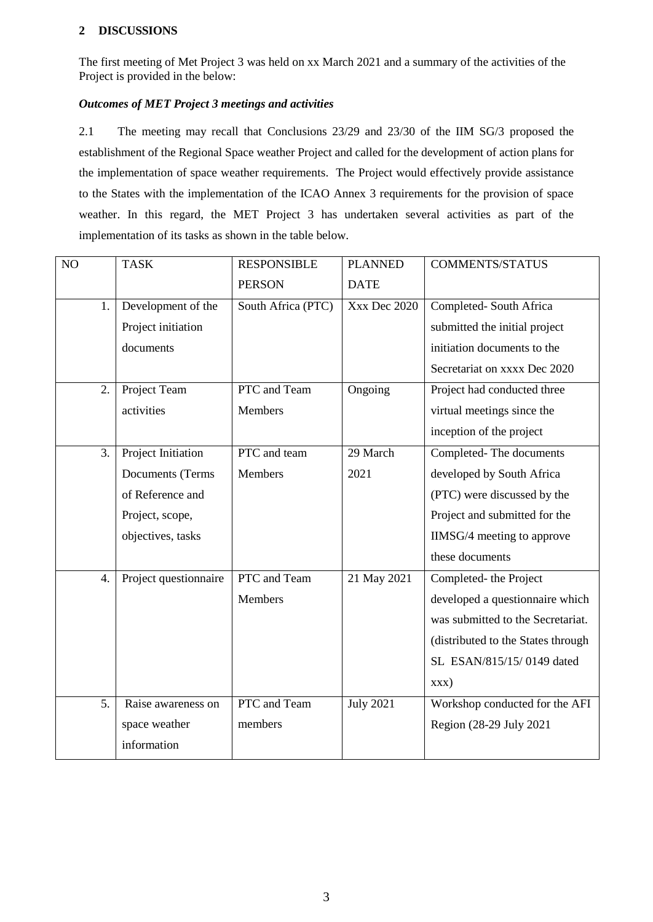## **2 DISCUSSIONS**

The first meeting of Met Project 3 was held on xx March 2021 and a summary of the activities of the Project is provided in the below:

# *Outcomes of MET Project 3 meetings and activities*

2.1 The meeting may recall that Conclusions 23/29 and 23/30 of the IIM SG/3 proposed the establishment of the Regional Space weather Project and called for the development of action plans for the implementation of space weather requirements. The Project would effectively provide assistance to the States with the implementation of the ICAO Annex 3 requirements for the provision of space weather. In this regard, the MET Project 3 has undertaken several activities as part of the implementation of its tasks as shown in the table below.

| NO               | <b>TASK</b>           | <b>RESPONSIBLE</b> | <b>PLANNED</b>   | <b>COMMENTS/STATUS</b>             |
|------------------|-----------------------|--------------------|------------------|------------------------------------|
|                  |                       | <b>PERSON</b>      | <b>DATE</b>      |                                    |
| 1.               | Development of the    | South Africa (PTC) | Xxx Dec 2020     | Completed-South Africa             |
|                  | Project initiation    |                    |                  | submitted the initial project      |
|                  | documents             |                    |                  | initiation documents to the        |
|                  |                       |                    |                  | Secretariat on xxxx Dec 2020       |
| 2.               | Project Team          | PTC and Team       | Ongoing          | Project had conducted three        |
|                  | activities            | <b>Members</b>     |                  | virtual meetings since the         |
|                  |                       |                    |                  | inception of the project           |
| 3.               | Project Initiation    | PTC and team       | 29 March         | Completed-The documents            |
|                  | Documents (Terms      | <b>Members</b>     | 2021             | developed by South Africa          |
|                  | of Reference and      |                    |                  | (PTC) were discussed by the        |
|                  | Project, scope,       |                    |                  | Project and submitted for the      |
|                  | objectives, tasks     |                    |                  | IIMSG/4 meeting to approve         |
|                  |                       |                    |                  | these documents                    |
| $\overline{4}$ . | Project questionnaire | PTC and Team       | 21 May 2021      | Completed-the Project              |
|                  |                       | Members            |                  | developed a questionnaire which    |
|                  |                       |                    |                  | was submitted to the Secretariat.  |
|                  |                       |                    |                  | (distributed to the States through |
|                  |                       |                    |                  | SL ESAN/815/15/0149 dated          |
|                  |                       |                    |                  | XXX)                               |
| 5.               | Raise awareness on    | PTC and Team       | <b>July 2021</b> | Workshop conducted for the AFI     |
|                  | space weather         | members            |                  | Region (28-29 July 2021            |
|                  | information           |                    |                  |                                    |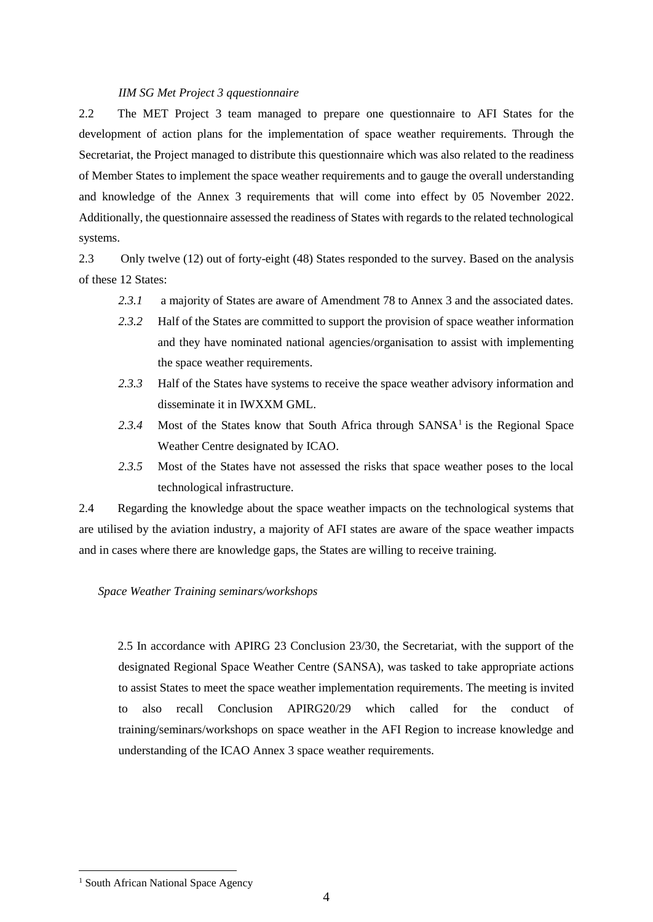#### *IIM SG Met Project 3 qquestionnaire*

2.2 The MET Project 3 team managed to prepare one questionnaire to AFI States for the development of action plans for the implementation of space weather requirements. Through the Secretariat, the Project managed to distribute this questionnaire which was also related to the readiness of Member States to implement the space weather requirements and to gauge the overall understanding and knowledge of the Annex 3 requirements that will come into effect by 05 November 2022. Additionally, the questionnaire assessed the readiness of States with regards to the related technological systems.

2.3 Only twelve (12) out of forty-eight (48) States responded to the survey. Based on the analysis of these 12 States:

- *2.3.1* a majority of States are aware of Amendment 78 to Annex 3 and the associated dates.
- *2.3.2* Half of the States are committed to support the provision of space weather information and they have nominated national agencies/organisation to assist with implementing the space weather requirements.
- *2.3.3* Half of the States have systems to receive the space weather advisory information and disseminate it in IWXXM GML.
- 2.3.4 Most of the States know that South Africa through SANSA<sup>1</sup> is the Regional Space Weather Centre designated by ICAO.
- *2.3.5* Most of the States have not assessed the risks that space weather poses to the local technological infrastructure.

2.4 Regarding the knowledge about the space weather impacts on the technological systems that are utilised by the aviation industry, a majority of AFI states are aware of the space weather impacts and in cases where there are knowledge gaps, the States are willing to receive training.

#### *Space Weather Training seminars/workshops*

2.5 In accordance with APIRG 23 Conclusion 23/30, the Secretariat, with the support of the designated Regional Space Weather Centre (SANSA), was tasked to take appropriate actions to assist States to meet the space weather implementation requirements. The meeting is invited to also recall Conclusion APIRG20/29 which called for the conduct of training/seminars/workshops on space weather in the AFI Region to increase knowledge and understanding of the ICAO Annex 3 space weather requirements.

1

<sup>&</sup>lt;sup>1</sup> South African National Space Agency